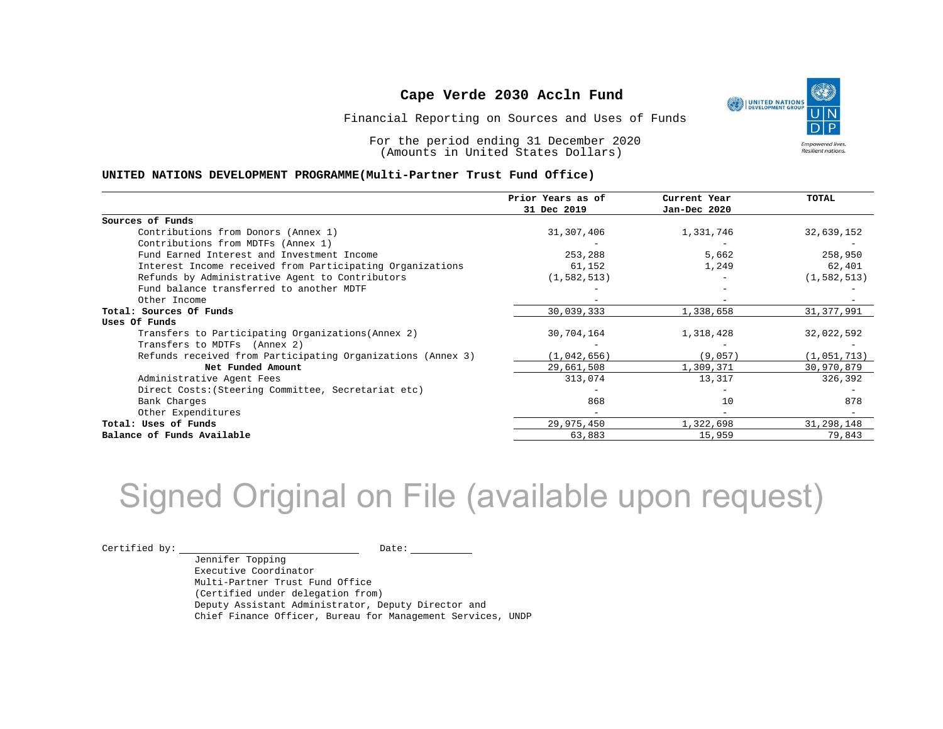

Financial Reporting on Sources and Uses of Funds

For the period ending 31 December 2020 (Amounts in United States Dollars)

#### **UNITED NATIONS DEVELOPMENT PROGRAMME(Multi-Partner Trust Fund Office)**

|                                                             | Prior Years as of<br>31 Dec 2019 | Current Year<br>Jan-Dec 2020 | <b>TOTAL</b>  |
|-------------------------------------------------------------|----------------------------------|------------------------------|---------------|
|                                                             |                                  |                              |               |
| Sources of Funds                                            |                                  |                              |               |
| Contributions from Donors (Annex 1)                         | 31,307,406                       | 1,331,746                    | 32,639,152    |
| Contributions from MDTFs (Annex 1)                          |                                  |                              |               |
| Fund Earned Interest and Investment Income                  | 253,288                          | 5,662                        | 258,950       |
| Interest Income received from Participating Organizations   | 61,152                           | 1,249                        | 62,401        |
| Refunds by Administrative Agent to Contributors             | (1, 582, 513)                    |                              | (1, 582, 513) |
| Fund balance transferred to another MDTF                    |                                  |                              |               |
| Other Income                                                |                                  |                              |               |
| Total: Sources Of Funds                                     | 30,039,333                       | 1,338,658                    | 31, 377, 991  |
| Uses Of Funds                                               |                                  |                              |               |
| Transfers to Participating Organizations (Annex 2)          | 30,704,164                       | 1,318,428                    | 32,022,592    |
| Transfers to MDTFs (Annex 2)                                |                                  |                              |               |
| Refunds received from Participating Organizations (Annex 3) | (1,042,656)                      | (9,057)                      | (1,051,713)   |
| Net Funded Amount                                           | 29,661,508                       | 1,309,371                    | 30,970,879    |
| Administrative Agent Fees                                   | 313,074                          | 13,317                       | 326,392       |
| Direct Costs: (Steering Committee, Secretariat etc)         |                                  |                              |               |
| Bank Charges                                                | 868                              | 10                           | 878           |
| Other Expenditures                                          |                                  |                              |               |
| Total: Uses of Funds                                        | 29,975,450                       | 1,322,698                    | 31,298,148    |
| Balance of Funds Available                                  | 63,883                           | 15,959                       | 79,843        |

## Signed Original on File (available upon request)

Certified by: Date:

Jennifer Topping Executive Coordinator Multi-Partner Trust Fund Office (Certified under delegation from) Deputy Assistant Administrator, Deputy Director and Chief Finance Officer, Bureau for Management Services, UNDP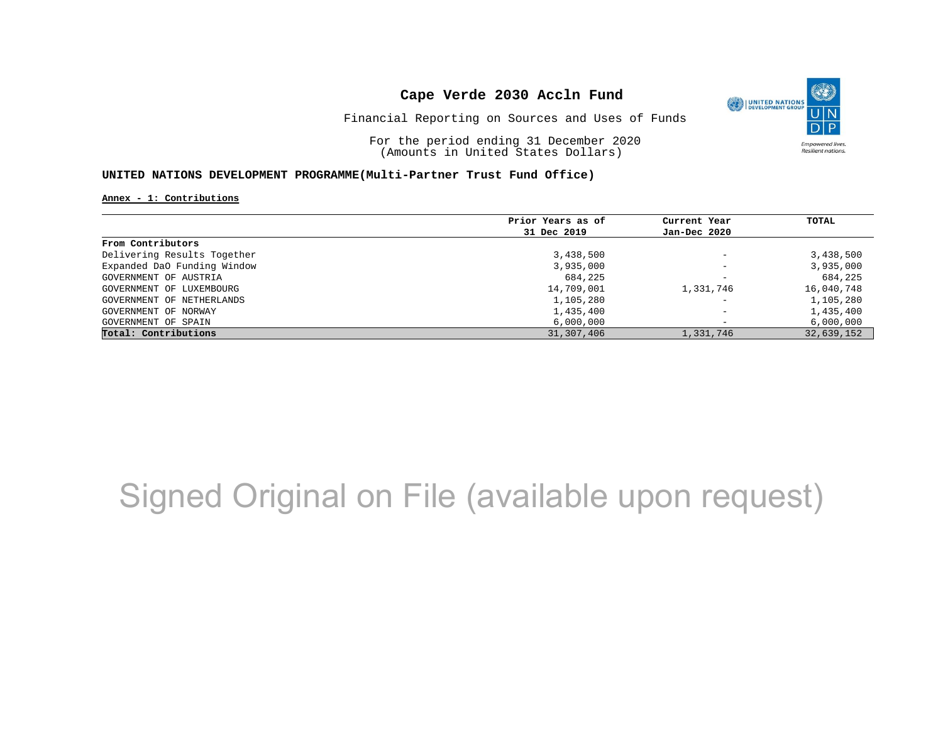

Financial Reporting on Sources and Uses of Funds

For the period ending 31 December 2020 (Amounts in United States Dollars)

#### **UNITED NATIONS DEVELOPMENT PROGRAMME(Multi-Partner Trust Fund Office)**

**Annex - 1: Contributions**

|                             | Prior Years as of | Current Year             | TOTAL      |
|-----------------------------|-------------------|--------------------------|------------|
|                             | 31 Dec 2019       | Jan-Dec 2020             |            |
| From Contributors           |                   |                          |            |
| Delivering Results Together | 3,438,500         | $\overline{\phantom{a}}$ | 3,438,500  |
| Expanded DaO Funding Window | 3,935,000         | $\overline{\phantom{a}}$ | 3,935,000  |
| GOVERNMENT OF AUSTRIA       | 684,225           | $\overline{\phantom{a}}$ | 684,225    |
| GOVERNMENT OF LUXEMBOURG    | 14,709,001        | 1,331,746                | 16,040,748 |
| GOVERNMENT OF NETHERLANDS   | 1,105,280         | $\qquad \qquad -$        | 1,105,280  |
| GOVERNMENT OF NORWAY        | 1,435,400         | $\overline{\phantom{a}}$ | 1,435,400  |
| GOVERNMENT OF SPAIN         | 6,000,000         | $\overline{\phantom{a}}$ | 6,000,000  |
| Total: Contributions        | 31,307,406        | 1,331,746                | 32,639,152 |

## Signed Original on File (available upon request)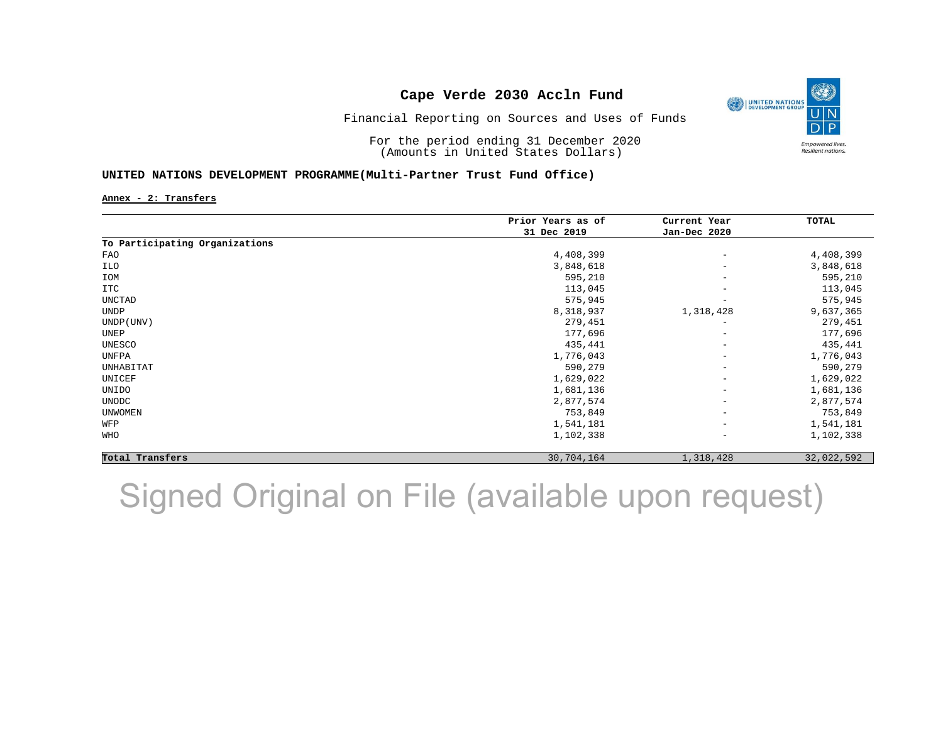

Financial Reporting on Sources and Uses of Funds

For the period ending 31 December 2020 (Amounts in United States Dollars)

#### **UNITED NATIONS DEVELOPMENT PROGRAMME(Multi-Partner Trust Fund Office)**

**Annex - 2: Transfers**

|                                | Prior Years as of | Current Year             | TOTAL      |
|--------------------------------|-------------------|--------------------------|------------|
|                                | 31 Dec 2019       | Jan-Dec 2020             |            |
| To Participating Organizations |                   |                          |            |
| FAO                            | 4,408,399         | $\qquad \qquad -$        | 4,408,399  |
| ILO                            | 3,848,618         | $\overline{\phantom{a}}$ | 3,848,618  |
| IOM                            | 595,210           | $\overline{\phantom{a}}$ | 595,210    |
| ITC                            | 113,045           | $\overline{\phantom{a}}$ | 113,045    |
| UNCTAD                         | 575,945           | $\overline{\phantom{a}}$ | 575,945    |
| UNDP                           | 8,318,937         | 1,318,428                | 9,637,365  |
| UNDP (UNV)                     | 279,451           | $\overline{\phantom{a}}$ | 279,451    |
| UNEP                           | 177,696           | $\overline{\phantom{a}}$ | 177,696    |
| UNESCO                         | 435,441           | $\overline{\phantom{a}}$ | 435,441    |
| UNFPA                          | 1,776,043         | $\qquad \qquad -$        | 1,776,043  |
| UNHABITAT                      | 590,279           | $\overline{\phantom{a}}$ | 590,279    |
| UNICEF                         | 1,629,022         | $\overline{\phantom{a}}$ | 1,629,022  |
| UNIDO                          | 1,681,136         | $\overline{\phantom{a}}$ | 1,681,136  |
| UNODC                          | 2,877,574         | $\overline{\phantom{a}}$ | 2,877,574  |
| <b>UNWOMEN</b>                 | 753,849           | $\overline{\phantom{m}}$ | 753,849    |
| WFP                            | 1,541,181         | $\overline{\phantom{a}}$ | 1,541,181  |
| WHO                            | 1,102,338         | $\overline{\phantom{m}}$ | 1,102,338  |
| Total Transfers                | 30,704,164        | 1,318,428                | 32,022,592 |

Signed Original on File (available upon request)